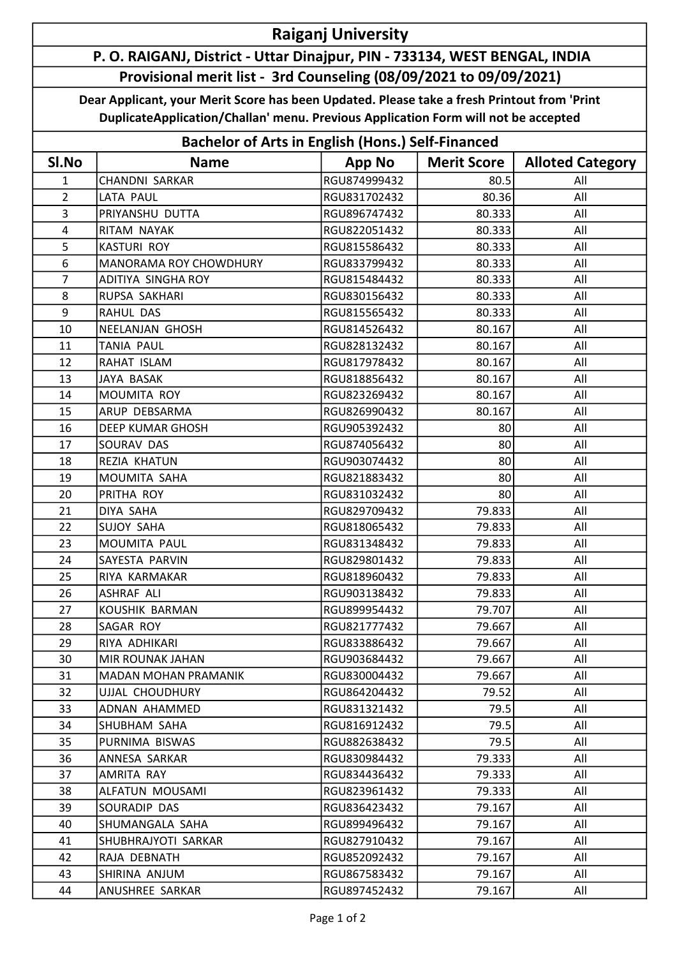## Raiganj University

## P. O. RAIGANJ, District - Uttar Dinajpur, PIN - 733134, WEST BENGAL, INDIA Provisional merit list - 3rd Counseling (08/09/2021 to 09/09/2021)

Dear Applicant, your Merit Score has been Updated. Please take a fresh Printout from 'Print DuplicateApplication/Challan' menu. Previous Application Form will not be accepted

| <b>Bachelor of Arts in English (Hons.) Self-Financed</b> |                               |               |                    |                         |  |  |
|----------------------------------------------------------|-------------------------------|---------------|--------------------|-------------------------|--|--|
| SI.No                                                    | <b>Name</b>                   | <b>App No</b> | <b>Merit Score</b> | <b>Alloted Category</b> |  |  |
| 1                                                        | <b>CHANDNI SARKAR</b>         | RGU874999432  | 80.5               | All                     |  |  |
| $\overline{2}$                                           | LATA PAUL                     | RGU831702432  | 80.36              | All                     |  |  |
| 3                                                        | PRIYANSHU DUTTA               | RGU896747432  | 80.333             | All                     |  |  |
| $\overline{4}$                                           | RITAM NAYAK                   | RGU822051432  | 80.333             | All                     |  |  |
| 5                                                        | <b>KASTURI ROY</b>            | RGU815586432  | 80.333             | All                     |  |  |
| 6                                                        | <b>MANORAMA ROY CHOWDHURY</b> | RGU833799432  | 80.333             | All                     |  |  |
| $\overline{7}$                                           | <b>ADITIYA SINGHA ROY</b>     | RGU815484432  | 80.333             | All                     |  |  |
| 8                                                        | RUPSA SAKHARI                 | RGU830156432  | 80.333             | All                     |  |  |
| 9                                                        | <b>RAHUL DAS</b>              | RGU815565432  | 80.333             | All                     |  |  |
| 10                                                       | NEELANJAN GHOSH               | RGU814526432  | 80.167             | All                     |  |  |
| 11                                                       | <b>TANIA PAUL</b>             | RGU828132432  | 80.167             | All                     |  |  |
| 12                                                       | RAHAT ISLAM                   | RGU817978432  | 80.167             | All                     |  |  |
| 13                                                       | JAYA BASAK                    | RGU818856432  | 80.167             | All                     |  |  |
| 14                                                       | MOUMITA ROY                   | RGU823269432  | 80.167             | All                     |  |  |
| 15                                                       | ARUP DEBSARMA                 | RGU826990432  | 80.167             | All                     |  |  |
| 16                                                       | <b>DEEP KUMAR GHOSH</b>       | RGU905392432  | 80                 | All                     |  |  |
| 17                                                       | SOURAV DAS                    | RGU874056432  | 80                 | All                     |  |  |
| 18                                                       | REZIA KHATUN                  | RGU903074432  | 80                 | All                     |  |  |
| 19                                                       | MOUMITA SAHA                  | RGU821883432  | 80                 | All                     |  |  |
| 20                                                       | PRITHA ROY                    | RGU831032432  | 80                 | All                     |  |  |
| 21                                                       | DIYA SAHA                     | RGU829709432  | 79.833             | All                     |  |  |
| 22                                                       | <b>SUJOY SAHA</b>             | RGU818065432  | 79.833             | All                     |  |  |
| 23                                                       | MOUMITA PAUL                  | RGU831348432  | 79.833             | All                     |  |  |
| 24                                                       | SAYESTA PARVIN                | RGU829801432  | 79.833             | All                     |  |  |
| 25                                                       | RIYA KARMAKAR                 | RGU818960432  | 79.833             | All                     |  |  |
| 26                                                       | <b>ASHRAF ALI</b>             | RGU903138432  | 79.833             | All                     |  |  |
| 27                                                       | KOUSHIK BARMAN                | RGU899954432  | 79.707             | All                     |  |  |
| 28                                                       | SAGAR ROY                     | RGU821777432  | 79.667             | All                     |  |  |
| 29                                                       | RIYA ADHIKARI                 | RGU833886432  | 79.667             | All                     |  |  |
| 30                                                       | MIR ROUNAK JAHAN              | RGU903684432  | 79.667             | All                     |  |  |
| 31                                                       | <b>MADAN MOHAN PRAMANIK</b>   | RGU830004432  | 79.667             | All                     |  |  |
| 32                                                       | UJJAL CHOUDHURY               | RGU864204432  | 79.52              | All                     |  |  |
| 33                                                       | ADNAN AHAMMED                 | RGU831321432  | 79.5               | All                     |  |  |
| 34                                                       | SHUBHAM SAHA                  | RGU816912432  | 79.5               | All                     |  |  |
| 35                                                       | PURNIMA BISWAS                | RGU882638432  | 79.5               | All                     |  |  |
| 36                                                       | ANNESA SARKAR                 | RGU830984432  | 79.333             | All                     |  |  |
| 37                                                       | AMRITA RAY                    | RGU834436432  | 79.333             | All                     |  |  |
| 38                                                       | ALFATUN MOUSAMI               | RGU823961432  | 79.333             | All                     |  |  |
| 39                                                       | SOURADIP DAS                  | RGU836423432  | 79.167             | All                     |  |  |
| 40                                                       | SHUMANGALA SAHA               | RGU899496432  | 79.167             | All                     |  |  |
| 41                                                       | SHUBHRAJYOTI SARKAR           | RGU827910432  | 79.167             | All                     |  |  |
| 42                                                       | RAJA DEBNATH                  | RGU852092432  | 79.167             | All                     |  |  |
| 43                                                       | SHIRINA ANJUM                 | RGU867583432  | 79.167             | All                     |  |  |
| 44                                                       | ANUSHREE SARKAR               | RGU897452432  | 79.167             | All                     |  |  |